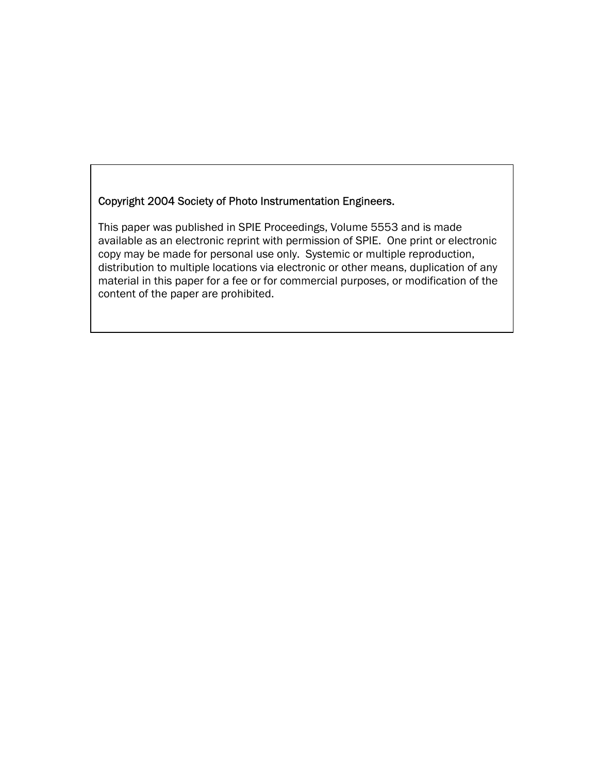# Copyright 2004 Society of Photo Instrumentation Engineers.

This paper was published in SPIE Proceedings, Volume 5553 and is made available as an electronic reprint with permission of SPIE. One print or electronic copy may be made for personal use only. Systemic or multiple reproduction, distribution to multiple locations via electronic or other means, duplication of any material in this paper for a fee or for commercial purposes, or modification of the content of the paper are prohibited.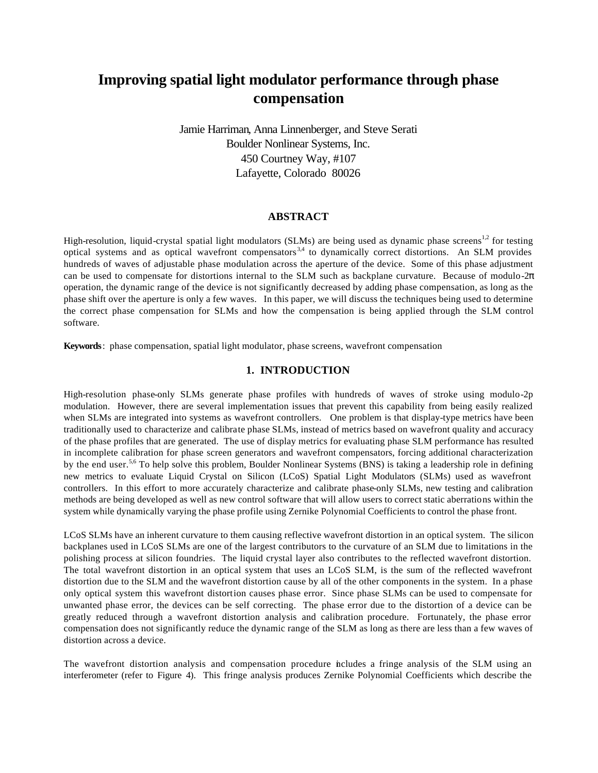# **Improving spatial light modulator performance through phase compensation**

Jamie Harriman, Anna Linnenberger, and Steve Serati Boulder Nonlinear Systems, Inc. 450 Courtney Way, #107 Lafayette, Colorado 80026

#### **ABSTRACT**

High-resolution, liquid-crystal spatial light modulators (SLMs) are being used as dynamic phase screens<sup>1,2</sup> for testing optical systems and as optical wavefront compensators<sup>3,4</sup> to dynamically correct distortions. An SLM provides hundreds of waves of adjustable phase modulation across the aperture of the device. Some of this phase adjustment can be used to compensate for distortions internal to the SLM such as backplane curvature. Because of modulo- $2\pi$ operation, the dynamic range of the device is not significantly decreased by adding phase compensation, as long as the phase shift over the aperture is only a few waves. In this paper, we will discuss the techniques being used to determine the correct phase compensation for SLMs and how the compensation is being applied through the SLM control software.

**Keywords**: phase compensation, spatial light modulator, phase screens, wavefront compensation

# **1. INTRODUCTION**

High-resolution phase-only SLMs generate phase profiles with hundreds of waves of stroke using modulo-2p modulation. However, there are several implementation issues that prevent this capability from being easily realized when SLMs are integrated into systems as wavefront controllers. One problem is that display-type metrics have been traditionally used to characterize and calibrate phase SLMs, instead of metrics based on wavefront quality and accuracy of the phase profiles that are generated. The use of display metrics for evaluating phase SLM performance has resulted in incomplete calibration for phase screen generators and wavefront compensators, forcing additional characterization by the end user.<sup>5,6</sup> To help solve this problem, Boulder Nonlinear Systems (BNS) is taking a leadership role in defining new metrics to evaluate Liquid Crystal on Silicon (LCoS) Spatial Light Modulators (SLMs) used as wavefront controllers. In this effort to more accurately characterize and calibrate phase-only SLMs, new testing and calibration methods are being developed as well as new control software that will allow users to correct static aberrations within the system while dynamically varying the phase profile using Zernike Polynomial Coefficients to control the phase front.

LCoS SLMs have an inherent curvature to them causing reflective wavefront distortion in an optical system. The silicon backplanes used in LCoS SLMs are one of the largest contributors to the curvature of an SLM due to limitations in the polishing process at silicon foundries. The liquid crystal layer also contributes to the reflected wavefront distortion. The total wavefront distortion in an optical system that uses an LCoS SLM, is the sum of the reflected wavefront distortion due to the SLM and the wavefront distortion cause by all of the other components in the system. In a phase only optical system this wavefront distortion causes phase error. Since phase SLMs can be used to compensate for unwanted phase error, the devices can be self correcting. The phase error due to the distortion of a device can be greatly reduced through a wavefront distortion analysis and calibration procedure. Fortunately, the phase error compensation does not significantly reduce the dynamic range of the SLM as long as there are less than a few waves of distortion across a device.

The wavefront distortion analysis and compensation procedure includes a fringe analysis of the SLM using an interferometer (refer to Figure 4). This fringe analysis produces Zernike Polynomial Coefficients which describe the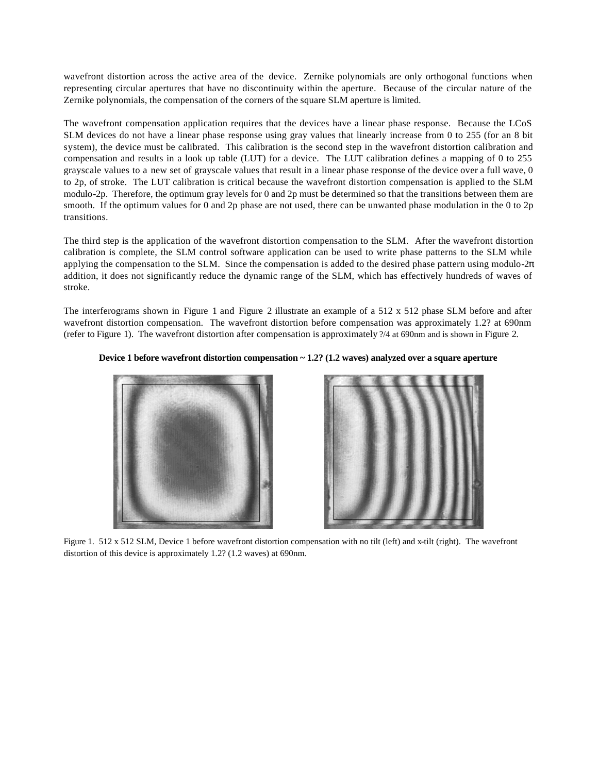wavefront distortion across the active area of the device. Zernike polynomials are only orthogonal functions when representing circular apertures that have no discontinuity within the aperture. Because of the circular nature of the Zernike polynomials, the compensation of the corners of the square SLM aperture is limited.

The wavefront compensation application requires that the devices have a linear phase response. Because the LCoS SLM devices do not have a linear phase response using gray values that linearly increase from 0 to 255 (for an 8 bit system), the device must be calibrated. This calibration is the second step in the wavefront distortion calibration and compensation and results in a look up table (LUT) for a device. The LUT calibration defines a mapping of 0 to 255 grayscale values to a new set of grayscale values that result in a linear phase response of the device over a full wave, 0 to 2p, of stroke. The LUT calibration is critical because the wavefront distortion compensation is applied to the SLM modulo-2p. Therefore, the optimum gray levels for 0 and 2p must be determined so that the transitions between them are smooth. If the optimum values for 0 and 2p phase are not used, there can be unwanted phase modulation in the 0 to 2p transitions.

The third step is the application of the wavefront distortion compensation to the SLM. After the wavefront distortion calibration is complete, the SLM control software application can be used to write phase patterns to the SLM while applying the compensation to the SLM. Since the compensation is added to the desired phase pattern using modulo- $2\pi$ addition, it does not significantly reduce the dynamic range of the SLM, which has effectively hundreds of waves of stroke.

The interferograms shown in Figure 1 and Figure 2 illustrate an example of a 512 x 512 phase SLM before and after wavefront distortion compensation. The wavefront distortion before compensation was approximately 1.2? at 690nm (refer to Figure 1). The wavefront distortion after compensation is approximately ?/4 at 690nm and is shown in Figure 2.

#### **Device 1 before wavefront distortion compensation ~ 1.2? (1.2 waves) analyzed over a square aperture**





Figure 1. 512 x 512 SLM, Device 1 before wavefront distortion compensation with no tilt (left) and x-tilt (right). The wavefront distortion of this device is approximately 1.2? (1.2 waves) at 690nm.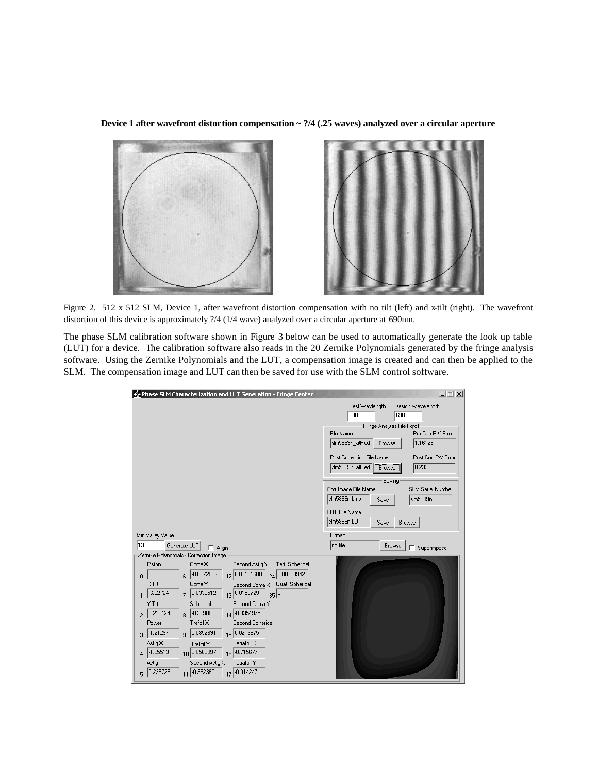**Device 1 after wavefront distortion compensation ~ ?/4 (.25 waves) analyzed over a circular aperture**





Figure 2. 512 x 512 SLM, Device 1, after wavefront distortion compensation with no tilt (left) and x-tilt (right). The wavefront distortion of this device is approximately ?/4 (1/4 wave) analyzed over a circular aperture at 690nm.

The phase SLM calibration software shown in Figure 3 below can be used to automatically generate the look up table (LUT) for a device. The calibration software also reads in the 20 Zernike Polynomials generated by the fringe analysis software. Using the Zernike Polynomials and the LUT, a compensation image is created and can then be applied to the SLM. The compensation image and LUT can then be saved for use with the SLM control software.

| Phase SLM Characterization and LUT Generation - Fringe Center                                          | $   \square  $ $\times$ $ $                                                              |
|--------------------------------------------------------------------------------------------------------|------------------------------------------------------------------------------------------|
|                                                                                                        | Test Wavlength<br>Design Wavelength<br>690<br>690<br>Fringe Analysis File (.qfd)         |
|                                                                                                        | File Name<br>Pre Corr P-V Error<br>1.16128<br>slm5899n atRed<br>Browse                   |
|                                                                                                        | Post Correction File Name<br>Post Corr P-V Error<br>0.233009<br>slm5899n_atRed<br>Browse |
|                                                                                                        | Saving                                                                                   |
|                                                                                                        | Corr Image File Name<br><b>SLM Serial Number</b>                                         |
|                                                                                                        | slm5899n.bmp<br>slm5899n<br>Save                                                         |
|                                                                                                        | LUT File Name                                                                            |
|                                                                                                        | slm5899n.LUT<br>Browse<br>Save                                                           |
| Min Valley Value                                                                                       | Bitmap                                                                                   |
| 130<br>Generate LUT<br>Align                                                                           | Ino file<br>Browse<br>Superimpose                                                        |
| Zernike Polynomials - Correction Image                                                                 |                                                                                          |
| Piston<br>Coma X<br>Second Astig Y<br>Tert. Spherical                                                  |                                                                                          |
| $-0.0272822$<br>12 0.00181688<br>10<br>24 0.00293942<br>6<br>$\mathbf{0}$                              |                                                                                          |
| Coma Y<br>$\times$ Tilt<br>Quat. Spherical<br>Second Coma X<br>$-6.02724$<br>0.0339512<br>13 0.0158729 |                                                                                          |
| $35^{0}$<br>$\overline{7}$<br>1<br>Second Coma Y<br>Y Tilt<br>Spherical                                |                                                                                          |
| 14 -0.0354975<br>0.210124<br>$-0.309868$<br>$\overline{c}$<br>8                                        |                                                                                          |
| TrefoilX<br>Second Spherical<br>Power                                                                  |                                                                                          |
| 15 0.0213875<br>$-1.21297$<br>0.0852891<br>$\overline{a}$<br>3                                         |                                                                                          |
| TetrafoilX<br>Astig <sub>X</sub><br>Trefoil Y                                                          |                                                                                          |
| $-1.05513$<br>10 0.0583897<br>16 -0.715677<br>4                                                        |                                                                                          |
| Second Astig X<br>Astig Y<br>Tetrafoil Y                                                               |                                                                                          |
| 0.236726<br>11 -0.392365<br>17 -0.0142471<br>5                                                         |                                                                                          |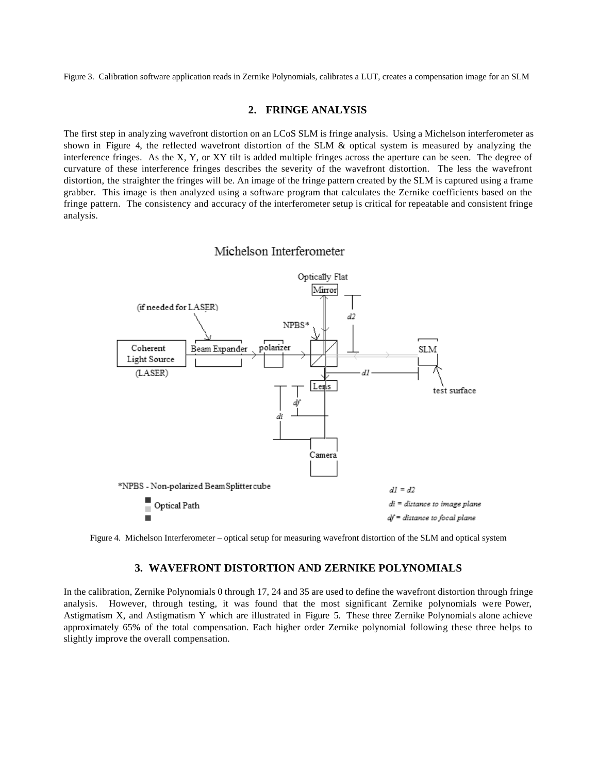Figure 3. Calibration software application reads in Zernike Polynomials, calibrates a LUT, creates a compensation image for an SLM

#### **2. FRINGE ANALYSIS**

The first step in analyzing wavefront distortion on an LCoS SLM is fringe analysis. Using a Michelson interferometer as shown in Figure 4, the reflected wavefront distortion of the SLM & optical system is measured by analyzing the interference fringes. As the X, Y, or XY tilt is added multiple fringes across the aperture can be seen. The degree of curvature of these interference fringes describes the severity of the wavefront distortion. The less the wavefront distortion, the straighter the fringes will be. An image of the fringe pattern created by the SLM is captured using a frame grabber. This image is then analyzed using a software program that calculates the Zernike coefficients based on the fringe pattern. The consistency and accuracy of the interferometer setup is critical for repeatable and consistent fringe analysis.



#### Michelson Interferometer

Figure 4. Michelson Interferometer – optical setup for measuring wavefront distortion of the SLM and optical system

#### **3. WAVEFRONT DISTORTION AND ZERNIKE POLYNOMIALS**

In the calibration, Zernike Polynomials 0 through 17, 24 and 35 are used to define the wavefront distortion through fringe analysis. However, through testing, it was found that the most significant Zernike polynomials were Power, Astigmatism X, and Astigmatism Y which are illustrated in Figure 5. These three Zernike Polynomials alone achieve approximately 65% of the total compensation. Each higher order Zernike polynomial following these three helps to slightly improve the overall compensation.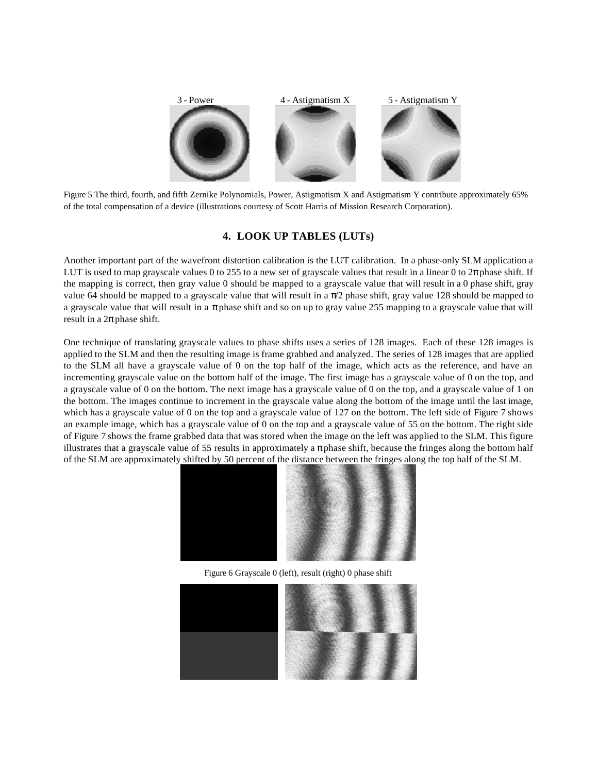

Figure 5 The third, fourth, and fifth Zernike Polynomials, Power, Astigmatism X and Astigmatism Y contribute approximately 65% of the total compensation of a device (illustrations courtesy of Scott Harris of Mission Research Corporation).

# **4. LOOK UP TABLES (LUTs)**

Another important part of the wavefront distortion calibration is the LUT calibration. In a phase-only SLM application a LUT is used to map grayscale values 0 to 255 to a new set of grayscale values that result in a linear 0 to  $2\pi$  phase shift. If the mapping is correct, then gray value 0 should be mapped to a grayscale value that will result in a 0 phase shift, gray value 64 should be mapped to a grayscale value that will result in a  $\pi/2$  phase shift, gray value 128 should be mapped to a grayscale value that will result in a  $\pi$  phase shift and so on up to gray value 255 mapping to a grayscale value that will result in a  $2\pi$  phase shift.

One technique of translating grayscale values to phase shifts uses a series of 128 images. Each of these 128 images is applied to the SLM and then the resulting image is frame grabbed and analyzed. The series of 128 images that are applied to the SLM all have a grayscale value of 0 on the top half of the image, which acts as the reference, and have an incrementing grayscale value on the bottom half of the image. The first image has a grayscale value of 0 on the top, and a grayscale value of 0 on the bottom. The next image has a grayscale value of 0 on the top, and a grayscale value of 1 on the bottom. The images continue to increment in the grayscale value along the bottom of the image until the last image, which has a grayscale value of 0 on the top and a grayscale value of 127 on the bottom. The left side of Figure 7 shows an example image, which has a grayscale value of 0 on the top and a grayscale value of 55 on the bottom. The right side of Figure 7 shows the frame grabbed data that was stored when the image on the left was applied to the SLM. This figure illustrates that a grayscale value of 55 results in approximately a  $\pi$  phase shift, because the fringes along the bottom half of the SLM are approximately shifted by 50 percent of the distance between the fringes along the top half of the SLM.



Figure 6 Grayscale 0 (left), result (right) 0 phase shift

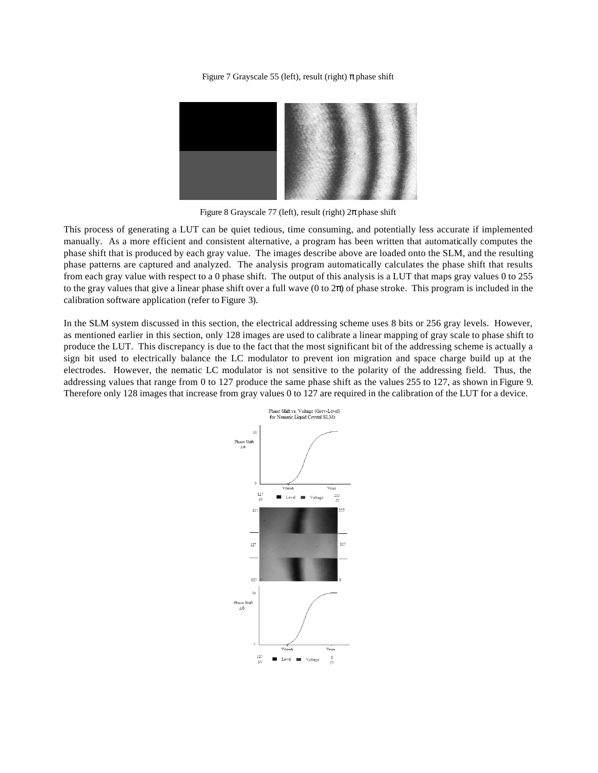#### Figure 7 Grayscale 55 (left), result (right)  $\pi$  phase shift



Figure 8 Grayscale 77 (left), result (right)  $2\pi$  phase shift

This process of generating a LUT can be quiet tedious, time consuming, and potentially less accurate if implemented manually. As a more efficient and consistent alternative, a program has been written that automatically computes the phase shift that is produced by each gray value. The images describe above are loaded onto the SLM, and the resulting phase patterns are captured and analyzed. The analysis program automatically calculates the phase shift that results from each gray value with respect to a 0 phase shift. The output of this analysis is a LUT that maps gray values 0 to 255 to the gray values that give a linear phase shift over a full wave (0 to  $2\pi$ ) of phase stroke. This program is included in the calibration software application (refer to Figure 3).

In the SLM system discussed in this section, the electrical addressing scheme uses 8 bits or 256 gray levels. However, as mentioned earlier in this section, only 128 images are used to calibrate a linear mapping of gray scale to phase shift to produce the LUT. This discrepancy is due to the fact that the most significant bit of the addressing scheme is actually a sign bit used to electrically balance the LC modulator to prevent ion migration and space charge build up at the electrodes. However, the nematic LC modulator is not sensitive to the polarity of the addressing field. Thus, the addressing values that range from 0 to 127 produce the same phase shift as the values 255 to 127, as shown in Figure 9. Therefore only 128 images that increase from gray values 0 to 127 are required in the calibration of the LUT for a device.

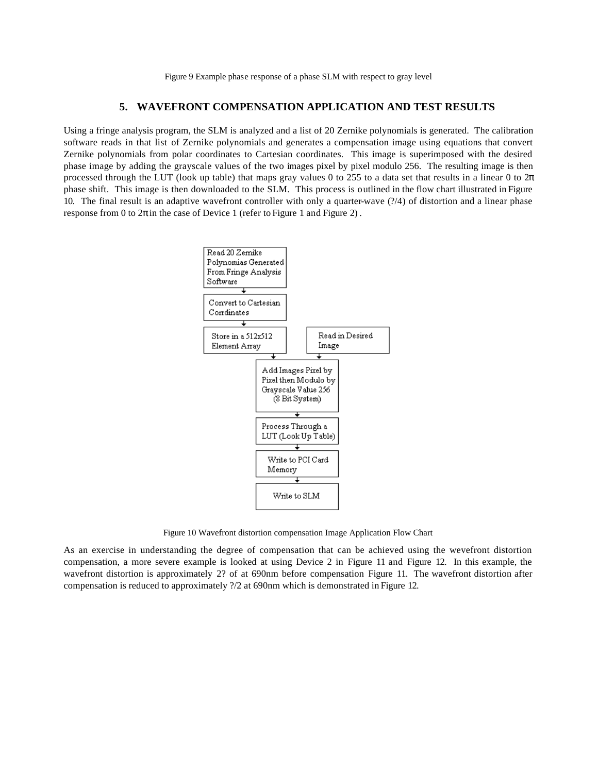# **5. WAVEFRONT COMPENSATION APPLICATION AND TEST RESULTS**

Using a fringe analysis program, the SLM is analyzed and a list of 20 Zernike polynomials is generated. The calibration software reads in that list of Zernike polynomials and generates a compensation image using equations that convert Zernike polynomials from polar coordinates to Cartesian coordinates. This image is superimposed with the desired phase image by adding the grayscale values of the two images pixel by pixel modulo 256. The resulting image is then processed through the LUT (look up table) that maps gray values 0 to 255 to a data set that results in a linear 0 to  $2\pi$ phase shift. This image is then downloaded to the SLM. This process is outlined in the flow chart illustrated in Figure 10. The final result is an adaptive wavefront controller with only a quarter-wave (?/4) of distortion and a linear phase response from 0 to  $2\pi$  in the case of Device 1 (refer to Figure 1 and Figure 2).



Figure 10 Wavefront distortion compensation Image Application Flow Chart

As an exercise in understanding the degree of compensation that can be achieved using the wevefront distortion compensation, a more severe example is looked at using Device 2 in Figure 11 and Figure 12. In this example, the wavefront distortion is approximately 2? of at 690nm before compensation Figure 11. The wavefront distortion after compensation is reduced to approximately ?/2 at 690nm which is demonstrated in Figure 12.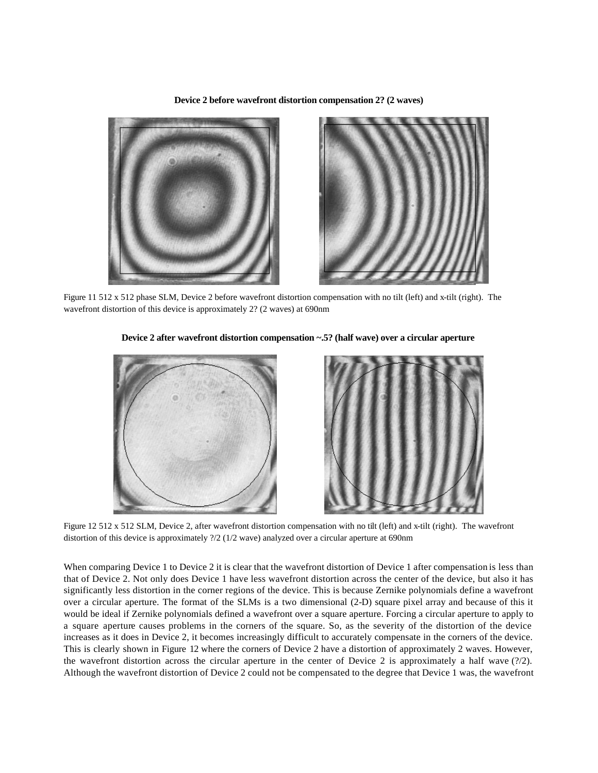**Device 2 before wavefront distortion compensation 2? (2 waves)**



Figure 11 512 x 512 phase SLM, Device 2 before wavefront distortion compensation with no tilt (left) and x-tilt (right). The wavefront distortion of this device is approximately 2? (2 waves) at 690nm





Figure 12 512 x 512 SLM, Device 2, after wavefront distortion compensation with no tilt (left) and x-tilt (right). The wavefront distortion of this device is approximately ?/2 (1/2 wave) analyzed over a circular aperture at 690nm

When comparing Device 1 to Device 2 it is clear that the wavefront distortion of Device 1 after compensation is less than that of Device 2. Not only does Device 1 have less wavefront distortion across the center of the device, but also it has significantly less distortion in the corner regions of the device. This is because Zernike polynomials define a wavefront over a circular aperture. The format of the SLMs is a two dimensional (2-D) square pixel array and because of this it would be ideal if Zernike polynomials defined a wavefront over a square aperture. Forcing a circular aperture to apply to a square aperture causes problems in the corners of the square. So, as the severity of the distortion of the device increases as it does in Device 2, it becomes increasingly difficult to accurately compensate in the corners of the device. This is clearly shown in Figure 12 where the corners of Device 2 have a distortion of approximately 2 waves. However, the wavefront distortion across the circular aperture in the center of Device 2 is approximately a half wave  $(?)/2$ . Although the wavefront distortion of Device 2 could not be compensated to the degree that Device 1 was, the wavefront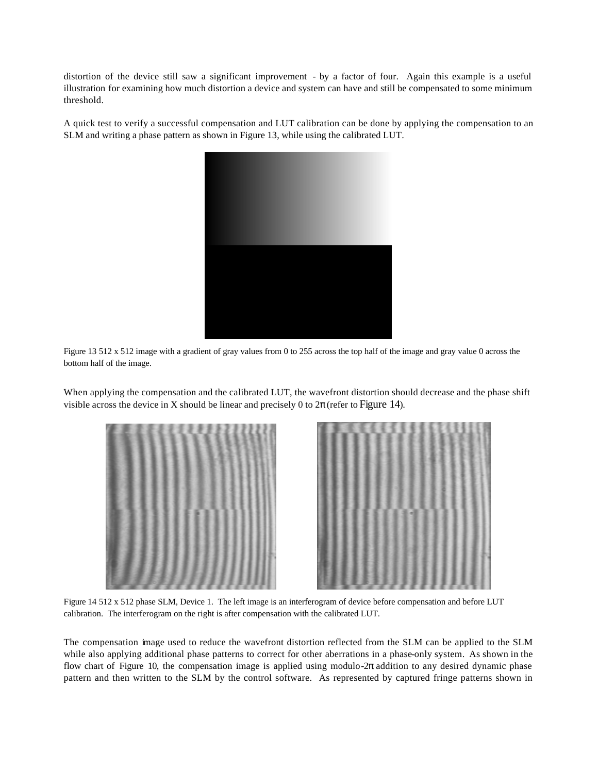distortion of the device still saw a significant improvement - by a factor of four. Again this example is a useful illustration for examining how much distortion a device and system can have and still be compensated to some minimum threshold.

A quick test to verify a successful compensation and LUT calibration can be done by applying the compensation to an SLM and writing a phase pattern as shown in Figure 13, while using the calibrated LUT.





When applying the compensation and the calibrated LUT, the wavefront distortion should decrease and the phase shift visible across the device in X should be linear and precisely 0 to  $2\pi$  (refer to Figure 14).





Figure 14 512 x 512 phase SLM, Device 1. The left image is an interferogram of device before compensation and before LUT calibration. The interferogram on the right is after compensation with the calibrated LUT.

The compensation image used to reduce the wavefront distortion reflected from the SLM can be applied to the SLM while also applying additional phase patterns to correct for other aberrations in a phase-only system. As shown in the flow chart of Figure 10, the compensation image is applied using modulo- $2\pi$  addition to any desired dynamic phase pattern and then written to the SLM by the control software. As represented by captured fringe patterns shown in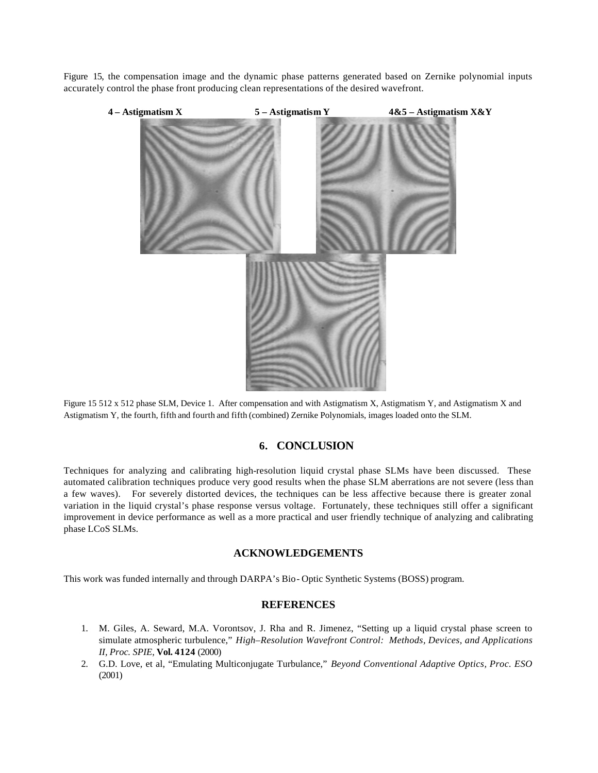Figure 15, the compensation image and the dynamic phase patterns generated based on Zernike polynomial inputs accurately control the phase front producing clean representations of the desired wavefront.



Figure 15 512 x 512 phase SLM, Device 1. After compensation and with Astigmatism X, Astigmatism Y, and Astigmatism X and Astigmatism Y, the fourth, fifth and fourth and fifth (combined) Zernike Polynomials, images loaded onto the SLM.

# **6. CONCLUSION**

Techniques for analyzing and calibrating high-resolution liquid crystal phase SLMs have been discussed. These automated calibration techniques produce very good results when the phase SLM aberrations are not severe (less than a few waves). For severely distorted devices, the techniques can be less affective because there is greater zonal variation in the liquid crystal's phase response versus voltage. Fortunately, these techniques still offer a significant improvement in device performance as well as a more practical and user friendly technique of analyzing and calibrating phase LCoS SLMs.

### **ACKNOWLEDGEMENTS**

This work was funded internally and through DARPA's Bio- Optic Synthetic Systems (BOSS) program.

#### **REFERENCES**

- 1. M. Giles, A. Seward, M.A. Vorontsov, J. Rha and R. Jimenez, "Setting up a liquid crystal phase screen to simulate atmospheric turbulence," *High–Resolution Wavefront Control: Methods, Devices, and Applications II, Proc. SPIE*, **Vol. 4124** (2000)
- 2. G.D. Love, et al, "Emulating Multiconjugate Turbulance," *Beyond Conventional Adaptive Optics, Proc. ESO*  (2001)